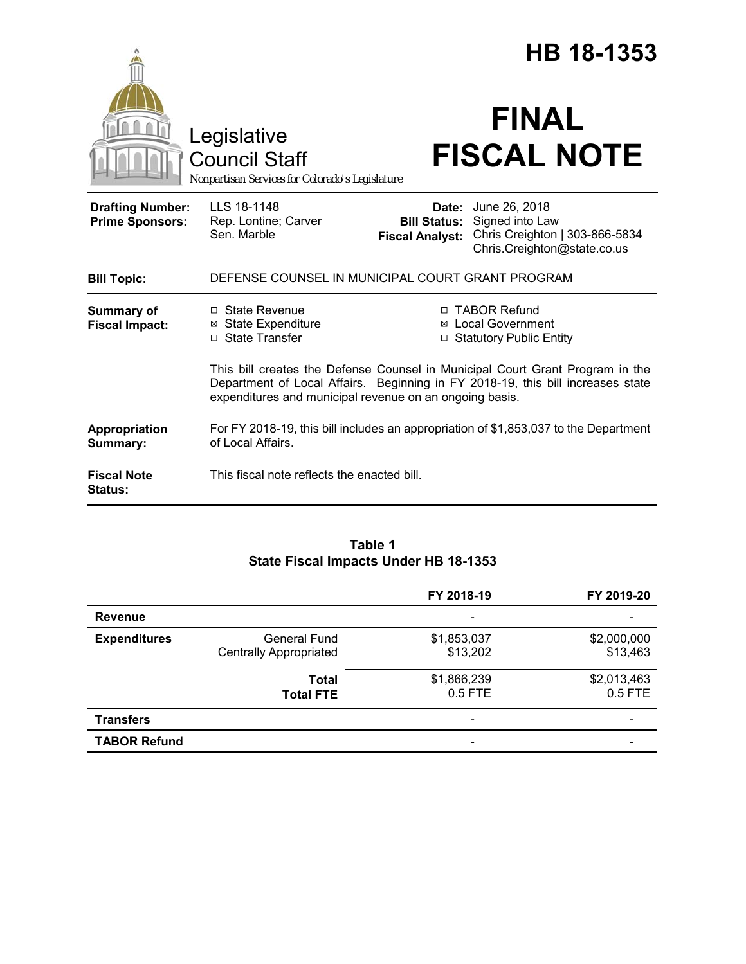|                                                   |                                                                                                                                                                                                                             | HB 18-1353                      |                                                                                                                       |  |
|---------------------------------------------------|-----------------------------------------------------------------------------------------------------------------------------------------------------------------------------------------------------------------------------|---------------------------------|-----------------------------------------------------------------------------------------------------------------------|--|
|                                                   | Legislative<br><b>Council Staff</b><br>Nonpartisan Services for Colorado's Legislature                                                                                                                                      |                                 | <b>FINAL</b><br><b>FISCAL NOTE</b>                                                                                    |  |
| <b>Drafting Number:</b><br><b>Prime Sponsors:</b> | LLS 18-1148<br>Rep. Lontine; Carver<br>Sen. Marble                                                                                                                                                                          | Date:<br><b>Fiscal Analyst:</b> | June 26, 2018<br><b>Bill Status:</b> Signed into Law<br>Chris Creighton   303-866-5834<br>Chris.Creighton@state.co.us |  |
| <b>Bill Topic:</b>                                | DEFENSE COUNSEL IN MUNICIPAL COURT GRANT PROGRAM                                                                                                                                                                            |                                 |                                                                                                                       |  |
| <b>Summary of</b><br><b>Fiscal Impact:</b>        | $\Box$ State Revenue<br><b>⊠ State Expenditure</b><br>□ State Transfer                                                                                                                                                      | ⊠<br>$\Box$                     | □ TABOR Refund<br><b>Local Government</b><br><b>Statutory Public Entity</b>                                           |  |
|                                                   | This bill creates the Defense Counsel in Municipal Court Grant Program in the<br>Department of Local Affairs. Beginning in FY 2018-19, this bill increases state<br>expenditures and municipal revenue on an ongoing basis. |                                 |                                                                                                                       |  |
| Appropriation<br>Summary:                         | For FY 2018-19, this bill includes an appropriation of \$1,853,037 to the Department<br>of Local Affairs.                                                                                                                   |                                 |                                                                                                                       |  |
| <b>Fiscal Note</b><br><b>Status:</b>              | This fiscal note reflects the enacted bill.                                                                                                                                                                                 |                                 |                                                                                                                       |  |

# **Table 1 State Fiscal Impacts Under HB 18-1353**

|                     |                                               | FY 2018-19               | FY 2019-20               |
|---------------------|-----------------------------------------------|--------------------------|--------------------------|
| <b>Revenue</b>      |                                               | $\overline{\phantom{a}}$ | $\overline{\phantom{a}}$ |
| <b>Expenditures</b> | General Fund<br><b>Centrally Appropriated</b> | \$1,853,037<br>\$13,202  | \$2,000,000<br>\$13,463  |
|                     | Total<br><b>Total FTE</b>                     | \$1,866,239<br>$0.5$ FTE | \$2,013,463<br>0.5 FTE   |
| <b>Transfers</b>    |                                               | $\overline{\phantom{a}}$ | $\overline{\phantom{0}}$ |
| <b>TABOR Refund</b> |                                               | $\overline{\phantom{a}}$ |                          |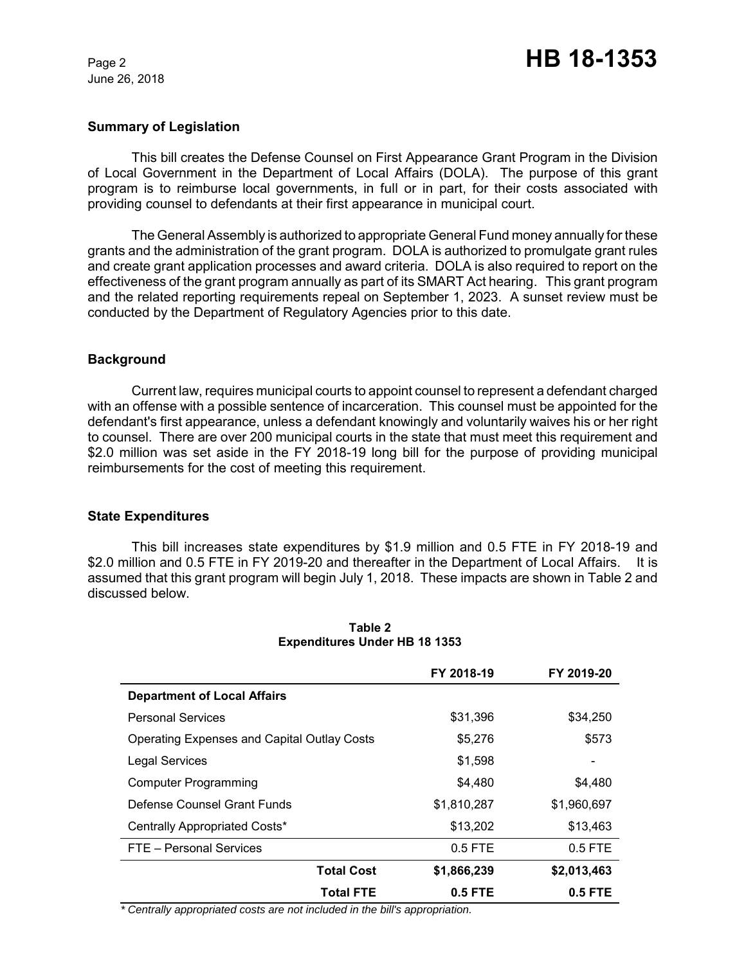June 26, 2018

# **Summary of Legislation**

This bill creates the Defense Counsel on First Appearance Grant Program in the Division of Local Government in the Department of Local Affairs (DOLA). The purpose of this grant program is to reimburse local governments, in full or in part, for their costs associated with providing counsel to defendants at their first appearance in municipal court.

The General Assembly is authorized to appropriate General Fund money annually for these grants and the administration of the grant program. DOLA is authorized to promulgate grant rules and create grant application processes and award criteria. DOLA is also required to report on the effectiveness of the grant program annually as part of its SMART Act hearing. This grant program and the related reporting requirements repeal on September 1, 2023. A sunset review must be conducted by the Department of Regulatory Agencies prior to this date.

# **Background**

Current law, requires municipal courts to appoint counsel to represent a defendant charged with an offense with a possible sentence of incarceration. This counsel must be appointed for the defendant's first appearance, unless a defendant knowingly and voluntarily waives his or her right to counsel. There are over 200 municipal courts in the state that must meet this requirement and \$2.0 million was set aside in the FY 2018-19 long bill for the purpose of providing municipal reimbursements for the cost of meeting this requirement.

## **State Expenditures**

This bill increases state expenditures by \$1.9 million and 0.5 FTE in FY 2018-19 and \$2.0 million and 0.5 FTE in FY 2019-20 and thereafter in the Department of Local Affairs. It is assumed that this grant program will begin July 1, 2018. These impacts are shown in Table 2 and discussed below.

|                                                    | FY 2018-19  | FY 2019-20  |
|----------------------------------------------------|-------------|-------------|
| <b>Department of Local Affairs</b>                 |             |             |
| <b>Personal Services</b>                           | \$31,396    | \$34,250    |
| <b>Operating Expenses and Capital Outlay Costs</b> | \$5,276     | \$573       |
| Legal Services                                     | \$1,598     |             |
| Computer Programming                               | \$4.480     | \$4.480     |
| Defense Counsel Grant Funds                        | \$1,810,287 | \$1,960,697 |
| Centrally Appropriated Costs*                      | \$13,202    | \$13,463    |
| FTE - Personal Services                            | $0.5$ FTE   | $0.5$ FTE   |
| <b>Total Cost</b>                                  | \$1,866,239 | \$2,013,463 |
| Total FTE                                          | $0.5$ FTE   | $0.5$ FTE   |

## **Table 2 Expenditures Under HB 18 1353**

 *\* Centrally appropriated costs are not included in the bill's appropriation.*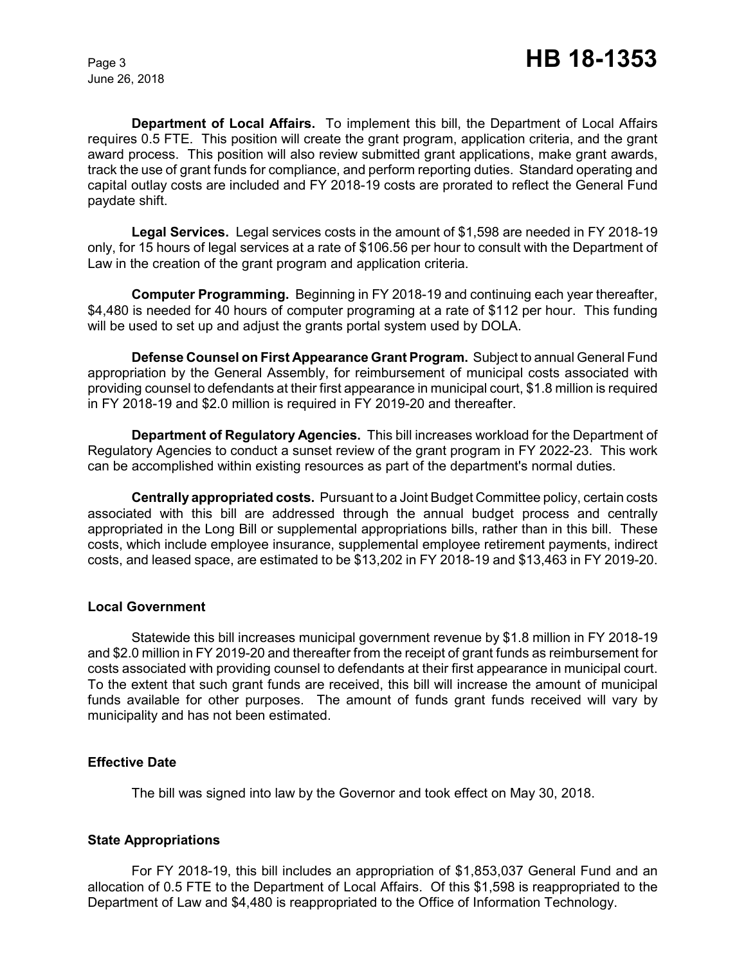June 26, 2018

**Department of Local Affairs.** To implement this bill, the Department of Local Affairs requires 0.5 FTE. This position will create the grant program, application criteria, and the grant award process. This position will also review submitted grant applications, make grant awards, track the use of grant funds for compliance, and perform reporting duties. Standard operating and capital outlay costs are included and FY 2018-19 costs are prorated to reflect the General Fund paydate shift.

**Legal Services.** Legal services costs in the amount of \$1,598 are needed in FY 2018-19 only, for 15 hours of legal services at a rate of \$106.56 per hour to consult with the Department of Law in the creation of the grant program and application criteria.

**Computer Programming.** Beginning in FY 2018-19 and continuing each year thereafter, \$4,480 is needed for 40 hours of computer programing at a rate of \$112 per hour. This funding will be used to set up and adjust the grants portal system used by DOLA.

**Defense Counsel on First Appearance Grant Program.** Subject to annual General Fund appropriation by the General Assembly, for reimbursement of municipal costs associated with providing counsel to defendants at their first appearance in municipal court, \$1.8 million is required in FY 2018-19 and \$2.0 million is required in FY 2019-20 and thereafter.

**Department of Regulatory Agencies.** This bill increases workload for the Department of Regulatory Agencies to conduct a sunset review of the grant program in FY 2022-23. This work can be accomplished within existing resources as part of the department's normal duties.

**Centrally appropriated costs.** Pursuant to a Joint Budget Committee policy, certain costs associated with this bill are addressed through the annual budget process and centrally appropriated in the Long Bill or supplemental appropriations bills, rather than in this bill. These costs, which include employee insurance, supplemental employee retirement payments, indirect costs, and leased space, are estimated to be \$13,202 in FY 2018-19 and \$13,463 in FY 2019-20.

## **Local Government**

Statewide this bill increases municipal government revenue by \$1.8 million in FY 2018-19 and \$2.0 million in FY 2019-20 and thereafter from the receipt of grant funds as reimbursement for costs associated with providing counsel to defendants at their first appearance in municipal court. To the extent that such grant funds are received, this bill will increase the amount of municipal funds available for other purposes. The amount of funds grant funds received will vary by municipality and has not been estimated.

## **Effective Date**

The bill was signed into law by the Governor and took effect on May 30, 2018.

## **State Appropriations**

For FY 2018-19, this bill includes an appropriation of \$1,853,037 General Fund and an allocation of 0.5 FTE to the Department of Local Affairs. Of this \$1,598 is reappropriated to the Department of Law and \$4,480 is reappropriated to the Office of Information Technology.